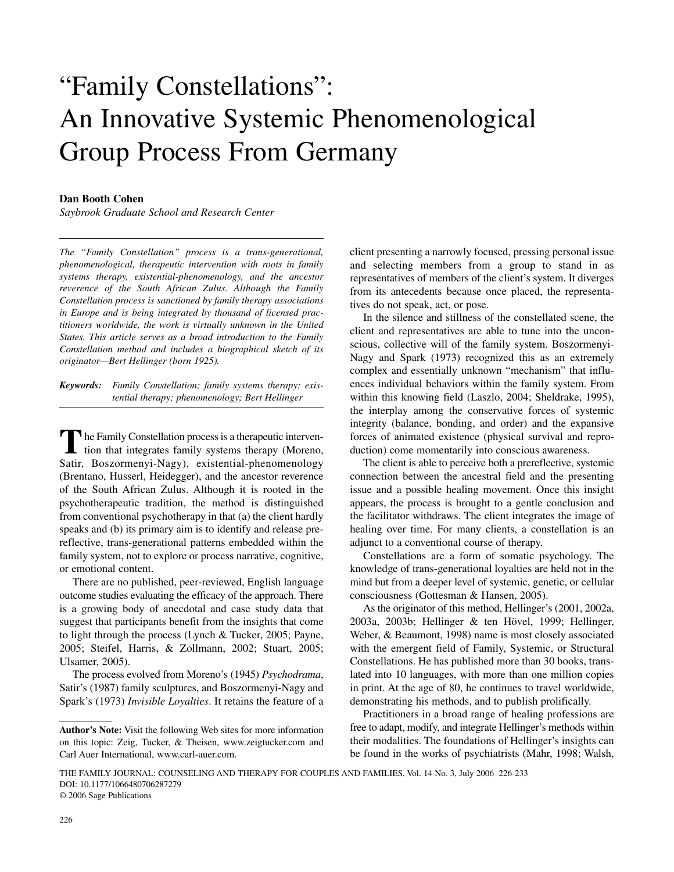# "Family Constellations": An Innovative Systemic Phenomenological Group Process From Germany

# **Dan Booth Cohen**

*Saybrook Graduate School and Research Center*

*The "Family Constellation" process is a trans-generational, phenomenological, therapeutic intervention with roots in family systems therapy, existential-phenomenology, and the ancestor reverence of the South African Zulus. Although the Family Constellation process is sanctioned by family therapy associations in Europe and is being integrated by thousand of licensed practitioners worldwide, the work is virtually unknown in the United States. This article serves as a broad introduction to the Family Constellation method and includes a biographical sketch of its originator—Bert Hellinger (born 1925).*

*Keywords: Family Constellation; family systems therapy; existential therapy; phenomenology; Bert Hellinger*

**T** he Family Constellation process is a therapeutic intervention that integrates family systems therapy (Morano tion that integrates family systems therapy (Moreno, Satir, Boszormenyi-Nagy), existential-phenomenology (Brentano, Husserl, Heidegger), and the ancestor reverence of the South African Zulus. Although it is rooted in the psychotherapeutic tradition, the method is distinguished from conventional psychotherapy in that (a) the client hardly speaks and (b) its primary aim is to identify and release prereflective, trans-generational patterns embedded within the family system, not to explore or process narrative, cognitive, or emotional content.

There are no published, peer-reviewed, English language outcome studies evaluating the efficacy of the approach. There is a growing body of anecdotal and case study data that suggest that participants benefit from the insights that come to light through the process (Lynch & Tucker, 2005; Payne, 2005; Steifel, Harris, & Zollmann, 2002; Stuart, 2005; Ulsamer, 2005).

The process evolved from Moreno's (1945) *Psychodrama*, Satir's (1987) family sculptures, and Boszormenyi-Nagy and Spark's (1973) *Invisible Loyalties*. It retains the feature of a client presenting a narrowly focused, pressing personal issue and selecting members from a group to stand in as representatives of members of the client's system. It diverges from its antecedents because once placed, the representatives do not speak, act, or pose.

In the silence and stillness of the constellated scene, the client and representatives are able to tune into the unconscious, collective will of the family system. Boszormenyi-Nagy and Spark (1973) recognized this as an extremely complex and essentially unknown "mechanism" that influences individual behaviors within the family system. From within this knowing field (Laszlo, 2004; Sheldrake, 1995), the interplay among the conservative forces of systemic integrity (balance, bonding, and order) and the expansive forces of animated existence (physical survival and reproduction) come momentarily into conscious awareness.

The client is able to perceive both a prereflective, systemic connection between the ancestral field and the presenting issue and a possible healing movement. Once this insight appears, the process is brought to a gentle conclusion and the facilitator withdraws. The client integrates the image of healing over time. For many clients, a constellation is an adjunct to a conventional course of therapy.

Constellations are a form of somatic psychology. The knowledge of trans-generational loyalties are held not in the mind but from a deeper level of systemic, genetic, or cellular consciousness (Gottesman & Hansen, 2005).

As the originator of this method, Hellinger's (2001, 2002a, 2003a, 2003b; Hellinger & ten Hövel, 1999; Hellinger, Weber, & Beaumont, 1998) name is most closely associated with the emergent field of Family, Systemic, or Structural Constellations. He has published more than 30 books, translated into 10 languages, with more than one million copies in print. At the age of 80, he continues to travel worldwide, demonstrating his methods, and to publish prolifically.

Practitioners in a broad range of healing professions are free to adapt, modify, and integrate Hellinger's methods within their modalities. The foundations of Hellinger's insights can be found in the works of psychiatrists (Mahr, 1998; Walsh,

**Author's Note:** Visit the following Web sites for more information on this topic: Zeig, Tucker, & Theisen, www.zeigtucker.com and Carl Auer International, www.carl-auer.com.

THE FAMILY JOURNAL: COUNSELING AND THERAPY FOR COUPLES AND FAMILIES, Vol. 14 No. 3, July 2006 226-233 DOI: 10.1177/1066480706287279 © 2006 Sage Publications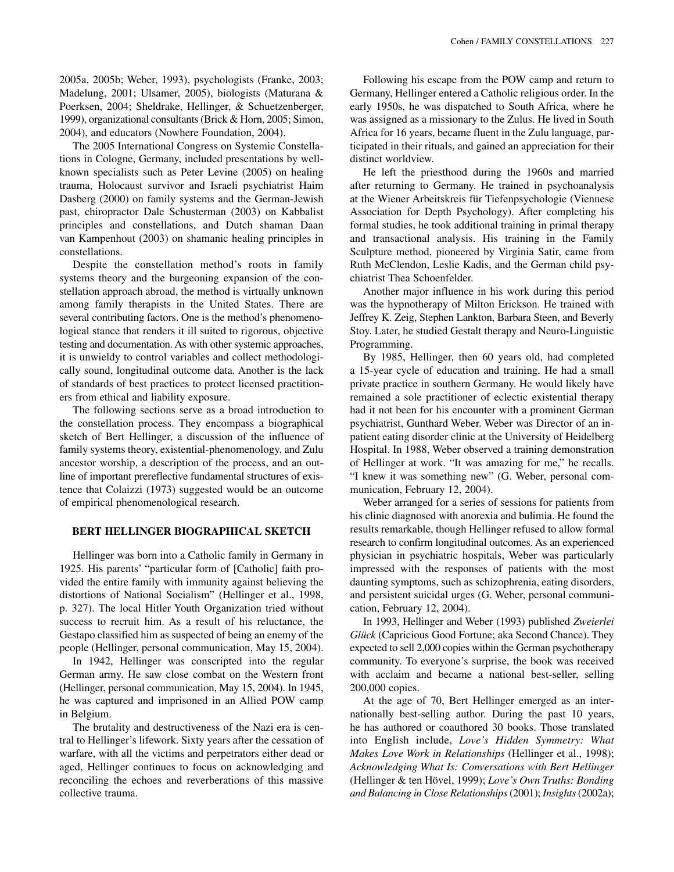2005a, 2005b; Weber, 1993), psychologists (Franke, 2003; Madelung, 2001; Ulsamer, 2005), biologists (Maturana & Poerksen, 2004; Sheldrake, Hellinger, & Schuetzenberger, 1999), organizational consultants (Brick & Horn, 2005; Simon, 2004), and educators (Nowhere Foundation, 2004).

The 2005 International Congress on Systemic Constellations in Cologne, Germany, included presentations by wellknown specialists such as Peter Levine (2005) on healing trauma, Holocaust survivor and Israeli psychiatrist Haim Dasberg (2000) on family systems and the German-Jewish past, chiropractor Dale Schusterman (2003) on Kabbalist principles and constellations, and Dutch shaman Daan van Kampenhout (2003) on shamanic healing principles in constellations.

Despite the constellation method's roots in family systems theory and the burgeoning expansion of the constellation approach abroad, the method is virtually unknown among family therapists in the United States. There are several contributing factors. One is the method's phenomenological stance that renders it ill suited to rigorous, objective testing and documentation. As with other systemic approaches, it is unwieldy to control variables and collect methodologically sound, longitudinal outcome data. Another is the lack of standards of best practices to protect licensed practitioners from ethical and liability exposure.

The following sections serve as a broad introduction to the constellation process. They encompass a biographical sketch of Bert Hellinger, a discussion of the influence of family systems theory, existential-phenomenology, and Zulu ancestor worship, a description of the process, and an outline of important prereflective fundamental structures of existence that Colaizzi (1973) suggested would be an outcome of empirical phenomenological research.

#### **BERT HELLINGER BIOGRAPHICAL SKETCH**

Hellinger was born into a Catholic family in Germany in 1925. His parents' "particular form of [Catholic] faith provided the entire family with immunity against believing the distortions of National Socialism" (Hellinger et al., 1998, p. 327). The local Hitler Youth Organization tried without success to recruit him. As a result of his reluctance, the Gestapo classified him as suspected of being an enemy of the people (Hellinger, personal communication, May 15, 2004).

In 1942, Hellinger was conscripted into the regular German army. He saw close combat on the Western front (Hellinger, personal communication, May 15, 2004). In 1945, he was captured and imprisoned in an Allied POW camp in Belgium.

The brutality and destructiveness of the Nazi era is central to Hellinger's lifework. Sixty years after the cessation of warfare, with all the victims and perpetrators either dead or aged, Hellinger continues to focus on acknowledging and reconciling the echoes and reverberations of this massive collective trauma.

Following his escape from the POW camp and return to Germany, Hellinger entered a Catholic religious order. In the early 1950s, he was dispatched to South Africa, where he was assigned as a missionary to the Zulus. He lived in South Africa for 16 years, became fluent in the Zulu language, participated in their rituals, and gained an appreciation for their distinct worldview.

He left the priesthood during the 1960s and married after returning to Germany. He trained in psychoanalysis at the Wiener Arbeitskreis für Tiefenpsychologie (Viennese Association for Depth Psychology). After completing his formal studies, he took additional training in primal therapy and transactional analysis. His training in the Family Sculpture method, pioneered by Virginia Satir, came from Ruth McClendon, Leslie Kadis, and the German child psychiatrist Thea Schoenfelder.

Another major influence in his work during this period was the hypnotherapy of Milton Erickson. He trained with Jeffrey K. Zeig, Stephen Lankton, Barbara Steen, and Beverly Stoy. Later, he studied Gestalt therapy and Neuro-Linguistic Programming.

By 1985, Hellinger, then 60 years old, had completed a 15-year cycle of education and training. He had a small private practice in southern Germany. He would likely have remained a sole practitioner of eclectic existential therapy had it not been for his encounter with a prominent German psychiatrist, Gunthard Weber. Weber was Director of an inpatient eating disorder clinic at the University of Heidelberg Hospital. In 1988, Weber observed a training demonstration of Hellinger at work. "It was amazing for me," he recalls. "I knew it was something new" (G. Weber, personal communication, February 12, 2004).

Weber arranged for a series of sessions for patients from his clinic diagnosed with anorexia and bulimia. He found the results remarkable, though Hellinger refused to allow formal research to confirm longitudinal outcomes. As an experienced physician in psychiatric hospitals, Weber was particularly impressed with the responses of patients with the most daunting symptoms, such as schizophrenia, eating disorders, and persistent suicidal urges (G. Weber, personal communication, February 12, 2004).

In 1993, Hellinger and Weber (1993) published *Zweierlei Glück* (Capricious Good Fortune; aka Second Chance). They expected to sell 2,000 copies within the German psychotherapy community. To everyone's surprise, the book was received with acclaim and became a national best-seller, selling 200,000 copies.

At the age of 70, Bert Hellinger emerged as an internationally best-selling author. During the past 10 years, he has authored or coauthored 30 books. Those translated into English include, *Love's Hidden Symmetry: What Makes Love Work in Relationships* (Hellinger et al., 1998); *Acknowledging What Is: Conversations with Bert Hellinger* (Hellinger & ten Hövel, 1999); *Love's Own Truths: Bonding and Balancing in Close Relationships*(2001); *Insights*(2002a);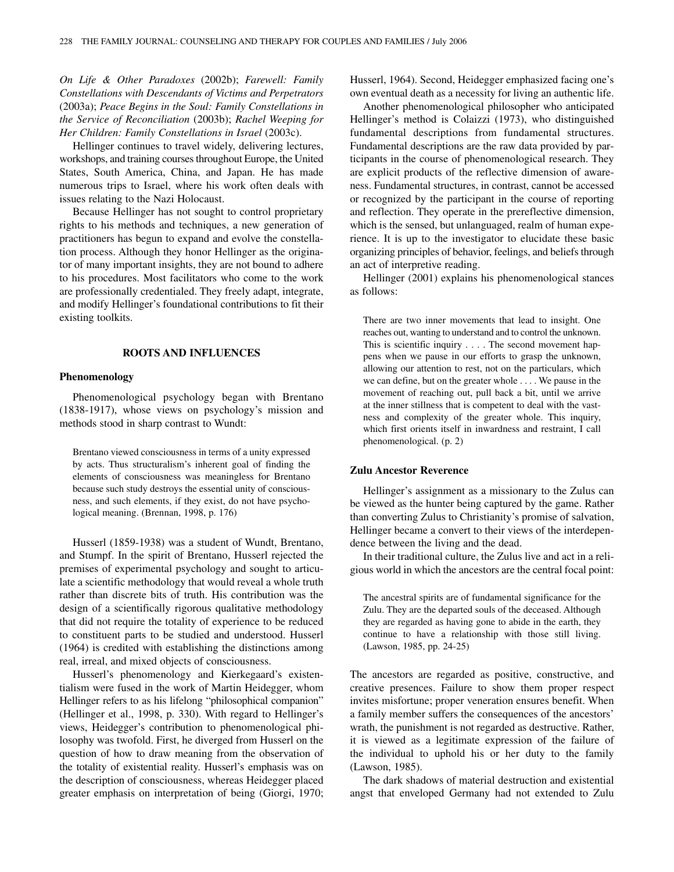*On Life & Other Paradoxes* (2002b); *Farewell: Family Constellations with Descendants of Victims and Perpetrators* (2003a); *Peace Begins in the Soul: Family Constellations in the Service of Reconciliation* (2003b); *Rachel Weeping for Her Children: Family Constellations in Israel* (2003c).

Hellinger continues to travel widely, delivering lectures, workshops, and training courses throughout Europe, the United States, South America, China, and Japan. He has made numerous trips to Israel, where his work often deals with issues relating to the Nazi Holocaust.

Because Hellinger has not sought to control proprietary rights to his methods and techniques, a new generation of practitioners has begun to expand and evolve the constellation process. Although they honor Hellinger as the originator of many important insights, they are not bound to adhere to his procedures. Most facilitators who come to the work are professionally credentialed. They freely adapt, integrate, and modify Hellinger's foundational contributions to fit their existing toolkits.

## **ROOTS AND INFLUENCES**

#### **Phenomenology**

Phenomenological psychology began with Brentano (1838-1917), whose views on psychology's mission and methods stood in sharp contrast to Wundt:

Brentano viewed consciousness in terms of a unity expressed by acts. Thus structuralism's inherent goal of finding the elements of consciousness was meaningless for Brentano because such study destroys the essential unity of consciousness, and such elements, if they exist, do not have psychological meaning. (Brennan, 1998, p. 176)

Husserl (1859-1938) was a student of Wundt, Brentano, and Stumpf. In the spirit of Brentano, Husserl rejected the premises of experimental psychology and sought to articulate a scientific methodology that would reveal a whole truth rather than discrete bits of truth. His contribution was the design of a scientifically rigorous qualitative methodology that did not require the totality of experience to be reduced to constituent parts to be studied and understood. Husserl (1964) is credited with establishing the distinctions among real, irreal, and mixed objects of consciousness.

Husserl's phenomenology and Kierkegaard's existentialism were fused in the work of Martin Heidegger, whom Hellinger refers to as his lifelong "philosophical companion" (Hellinger et al., 1998, p. 330). With regard to Hellinger's views, Heidegger's contribution to phenomenological philosophy was twofold. First, he diverged from Husserl on the question of how to draw meaning from the observation of the totality of existential reality. Husserl's emphasis was on the description of consciousness, whereas Heidegger placed greater emphasis on interpretation of being (Giorgi, 1970;

Husserl, 1964). Second, Heidegger emphasized facing one's own eventual death as a necessity for living an authentic life.

Another phenomenological philosopher who anticipated Hellinger's method is Colaizzi (1973), who distinguished fundamental descriptions from fundamental structures. Fundamental descriptions are the raw data provided by participants in the course of phenomenological research. They are explicit products of the reflective dimension of awareness. Fundamental structures, in contrast, cannot be accessed or recognized by the participant in the course of reporting and reflection. They operate in the prereflective dimension, which is the sensed, but unlanguaged, realm of human experience. It is up to the investigator to elucidate these basic organizing principles of behavior, feelings, and beliefs through an act of interpretive reading.

Hellinger (2001) explains his phenomenological stances as follows:

There are two inner movements that lead to insight. One reaches out, wanting to understand and to control the unknown. This is scientific inquiry . . . . The second movement happens when we pause in our efforts to grasp the unknown, allowing our attention to rest, not on the particulars, which we can define, but on the greater whole . . . . We pause in the movement of reaching out, pull back a bit, until we arrive at the inner stillness that is competent to deal with the vastness and complexity of the greater whole. This inquiry, which first orients itself in inwardness and restraint, I call phenomenological. (p. 2)

## **Zulu Ancestor Reverence**

Hellinger's assignment as a missionary to the Zulus can be viewed as the hunter being captured by the game. Rather than converting Zulus to Christianity's promise of salvation, Hellinger became a convert to their views of the interdependence between the living and the dead.

In their traditional culture, the Zulus live and act in a religious world in which the ancestors are the central focal point:

The ancestral spirits are of fundamental significance for the Zulu. They are the departed souls of the deceased. Although they are regarded as having gone to abide in the earth, they continue to have a relationship with those still living. (Lawson, 1985, pp. 24-25)

The ancestors are regarded as positive, constructive, and creative presences. Failure to show them proper respect invites misfortune; proper veneration ensures benefit. When a family member suffers the consequences of the ancestors' wrath, the punishment is not regarded as destructive. Rather, it is viewed as a legitimate expression of the failure of the individual to uphold his or her duty to the family (Lawson, 1985).

The dark shadows of material destruction and existential angst that enveloped Germany had not extended to Zulu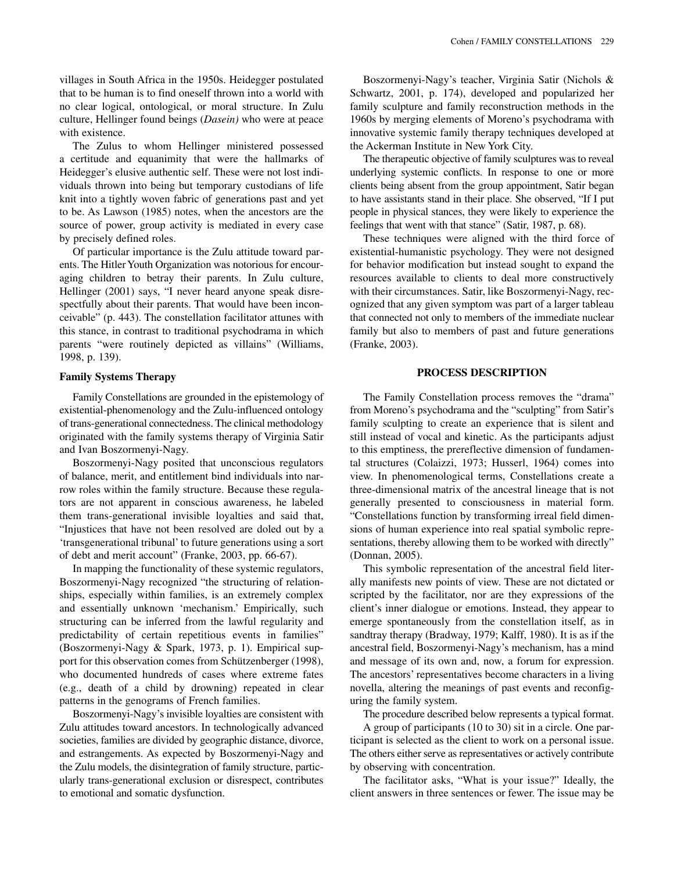villages in South Africa in the 1950s. Heidegger postulated that to be human is to find oneself thrown into a world with no clear logical, ontological, or moral structure. In Zulu culture, Hellinger found beings (*Dasein)* who were at peace with existence.

The Zulus to whom Hellinger ministered possessed a certitude and equanimity that were the hallmarks of Heidegger's elusive authentic self. These were not lost individuals thrown into being but temporary custodians of life knit into a tightly woven fabric of generations past and yet to be. As Lawson (1985) notes, when the ancestors are the source of power, group activity is mediated in every case by precisely defined roles.

Of particular importance is the Zulu attitude toward parents. The Hitler Youth Organization was notorious for encouraging children to betray their parents. In Zulu culture, Hellinger (2001) says, "I never heard anyone speak disrespectfully about their parents. That would have been inconceivable" (p. 443). The constellation facilitator attunes with this stance, in contrast to traditional psychodrama in which parents "were routinely depicted as villains" (Williams, 1998, p. 139).

## **Family Systems Therapy**

Family Constellations are grounded in the epistemology of existential-phenomenology and the Zulu-influenced ontology of trans-generational connectedness. The clinical methodology originated with the family systems therapy of Virginia Satir and Ivan Boszormenyi-Nagy.

Boszormenyi-Nagy posited that unconscious regulators of balance, merit, and entitlement bind individuals into narrow roles within the family structure. Because these regulators are not apparent in conscious awareness, he labeled them trans-generational invisible loyalties and said that, "Injustices that have not been resolved are doled out by a 'transgenerational tribunal' to future generations using a sort of debt and merit account" (Franke, 2003, pp. 66-67).

In mapping the functionality of these systemic regulators, Boszormenyi-Nagy recognized "the structuring of relationships, especially within families, is an extremely complex and essentially unknown 'mechanism.' Empirically, such structuring can be inferred from the lawful regularity and predictability of certain repetitious events in families" (Boszormenyi-Nagy & Spark, 1973, p. 1). Empirical support for this observation comes from Schützenberger (1998), who documented hundreds of cases where extreme fates (e.g., death of a child by drowning) repeated in clear patterns in the genograms of French families.

Boszormenyi-Nagy's invisible loyalties are consistent with Zulu attitudes toward ancestors. In technologically advanced societies, families are divided by geographic distance, divorce, and estrangements. As expected by Boszormenyi-Nagy and the Zulu models, the disintegration of family structure, particularly trans-generational exclusion or disrespect, contributes to emotional and somatic dysfunction.

Boszormenyi-Nagy's teacher, Virginia Satir (Nichols & Schwartz, 2001, p. 174), developed and popularized her family sculpture and family reconstruction methods in the 1960s by merging elements of Moreno's psychodrama with innovative systemic family therapy techniques developed at the Ackerman Institute in New York City.

The therapeutic objective of family sculptures was to reveal underlying systemic conflicts. In response to one or more clients being absent from the group appointment, Satir began to have assistants stand in their place. She observed, "If I put people in physical stances, they were likely to experience the feelings that went with that stance" (Satir, 1987, p. 68).

These techniques were aligned with the third force of existential-humanistic psychology. They were not designed for behavior modification but instead sought to expand the resources available to clients to deal more constructively with their circumstances. Satir, like Boszormenyi-Nagy, recognized that any given symptom was part of a larger tableau that connected not only to members of the immediate nuclear family but also to members of past and future generations (Franke, 2003).

## **PROCESS DESCRIPTION**

The Family Constellation process removes the "drama" from Moreno's psychodrama and the "sculpting" from Satir's family sculpting to create an experience that is silent and still instead of vocal and kinetic. As the participants adjust to this emptiness, the prereflective dimension of fundamental structures (Colaizzi, 1973; Husserl, 1964) comes into view. In phenomenological terms, Constellations create a three-dimensional matrix of the ancestral lineage that is not generally presented to consciousness in material form. "Constellations function by transforming irreal field dimensions of human experience into real spatial symbolic representations, thereby allowing them to be worked with directly" (Donnan, 2005).

This symbolic representation of the ancestral field literally manifests new points of view. These are not dictated or scripted by the facilitator, nor are they expressions of the client's inner dialogue or emotions. Instead, they appear to emerge spontaneously from the constellation itself, as in sandtray therapy (Bradway, 1979; Kalff, 1980). It is as if the ancestral field, Boszormenyi-Nagy's mechanism, has a mind and message of its own and, now, a forum for expression. The ancestors' representatives become characters in a living novella, altering the meanings of past events and reconfiguring the family system.

The procedure described below represents a typical format. A group of participants (10 to 30) sit in a circle. One participant is selected as the client to work on a personal issue. The others either serve as representatives or actively contribute by observing with concentration.

The facilitator asks, "What is your issue?" Ideally, the client answers in three sentences or fewer. The issue may be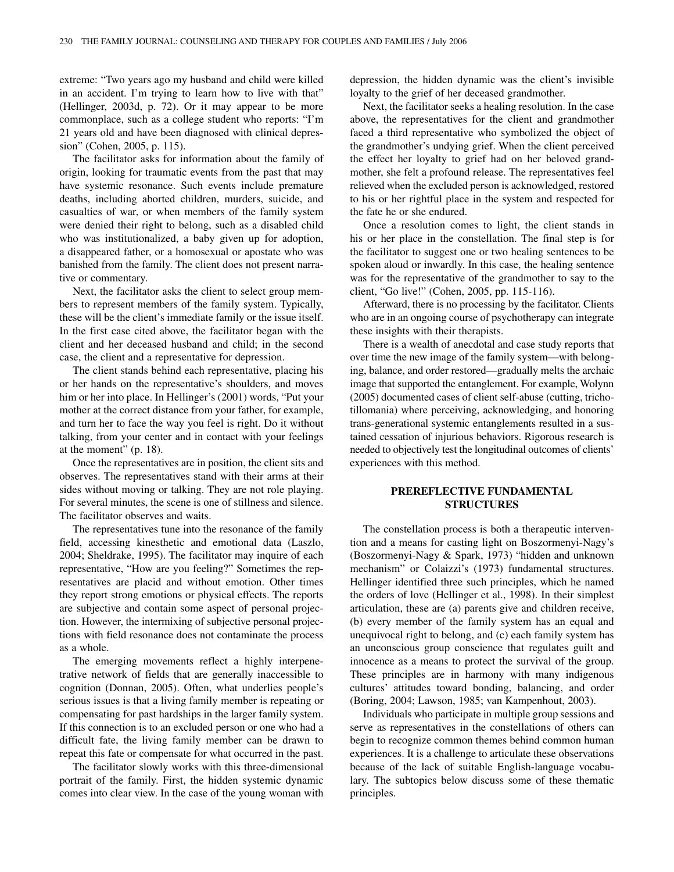extreme: "Two years ago my husband and child were killed in an accident. I'm trying to learn how to live with that" (Hellinger, 2003d, p. 72). Or it may appear to be more commonplace, such as a college student who reports: "I'm 21 years old and have been diagnosed with clinical depression" (Cohen, 2005, p. 115).

The facilitator asks for information about the family of origin, looking for traumatic events from the past that may have systemic resonance. Such events include premature deaths, including aborted children, murders, suicide, and casualties of war, or when members of the family system were denied their right to belong, such as a disabled child who was institutionalized, a baby given up for adoption, a disappeared father, or a homosexual or apostate who was banished from the family. The client does not present narrative or commentary.

Next, the facilitator asks the client to select group members to represent members of the family system. Typically, these will be the client's immediate family or the issue itself. In the first case cited above, the facilitator began with the client and her deceased husband and child; in the second case, the client and a representative for depression.

The client stands behind each representative, placing his or her hands on the representative's shoulders, and moves him or her into place. In Hellinger's (2001) words, "Put your mother at the correct distance from your father, for example, and turn her to face the way you feel is right. Do it without talking, from your center and in contact with your feelings at the moment" (p. 18).

Once the representatives are in position, the client sits and observes. The representatives stand with their arms at their sides without moving or talking. They are not role playing. For several minutes, the scene is one of stillness and silence. The facilitator observes and waits.

The representatives tune into the resonance of the family field, accessing kinesthetic and emotional data (Laszlo, 2004; Sheldrake, 1995). The facilitator may inquire of each representative, "How are you feeling?" Sometimes the representatives are placid and without emotion. Other times they report strong emotions or physical effects. The reports are subjective and contain some aspect of personal projection. However, the intermixing of subjective personal projections with field resonance does not contaminate the process as a whole.

The emerging movements reflect a highly interpenetrative network of fields that are generally inaccessible to cognition (Donnan, 2005). Often, what underlies people's serious issues is that a living family member is repeating or compensating for past hardships in the larger family system. If this connection is to an excluded person or one who had a difficult fate, the living family member can be drawn to repeat this fate or compensate for what occurred in the past.

The facilitator slowly works with this three-dimensional portrait of the family. First, the hidden systemic dynamic comes into clear view. In the case of the young woman with depression, the hidden dynamic was the client's invisible loyalty to the grief of her deceased grandmother.

Next, the facilitator seeks a healing resolution. In the case above, the representatives for the client and grandmother faced a third representative who symbolized the object of the grandmother's undying grief. When the client perceived the effect her loyalty to grief had on her beloved grandmother, she felt a profound release. The representatives feel relieved when the excluded person is acknowledged, restored to his or her rightful place in the system and respected for the fate he or she endured.

Once a resolution comes to light, the client stands in his or her place in the constellation. The final step is for the facilitator to suggest one or two healing sentences to be spoken aloud or inwardly. In this case, the healing sentence was for the representative of the grandmother to say to the client, "Go live!" (Cohen, 2005, pp. 115-116).

Afterward, there is no processing by the facilitator. Clients who are in an ongoing course of psychotherapy can integrate these insights with their therapists.

There is a wealth of anecdotal and case study reports that over time the new image of the family system—with belonging, balance, and order restored—gradually melts the archaic image that supported the entanglement. For example, Wolynn (2005) documented cases of client self-abuse (cutting, trichotillomania) where perceiving, acknowledging, and honoring trans-generational systemic entanglements resulted in a sustained cessation of injurious behaviors. Rigorous research is needed to objectively test the longitudinal outcomes of clients' experiences with this method.

# **PREREFLECTIVE FUNDAMENTAL STRUCTURES**

The constellation process is both a therapeutic intervention and a means for casting light on Boszormenyi-Nagy's (Boszormenyi-Nagy & Spark, 1973) "hidden and unknown mechanism" or Colaizzi's (1973) fundamental structures. Hellinger identified three such principles, which he named the orders of love (Hellinger et al., 1998). In their simplest articulation, these are (a) parents give and children receive, (b) every member of the family system has an equal and unequivocal right to belong, and (c) each family system has an unconscious group conscience that regulates guilt and innocence as a means to protect the survival of the group. These principles are in harmony with many indigenous cultures' attitudes toward bonding, balancing, and order (Boring, 2004; Lawson, 1985; van Kampenhout, 2003).

Individuals who participate in multiple group sessions and serve as representatives in the constellations of others can begin to recognize common themes behind common human experiences. It is a challenge to articulate these observations because of the lack of suitable English-language vocabulary. The subtopics below discuss some of these thematic principles.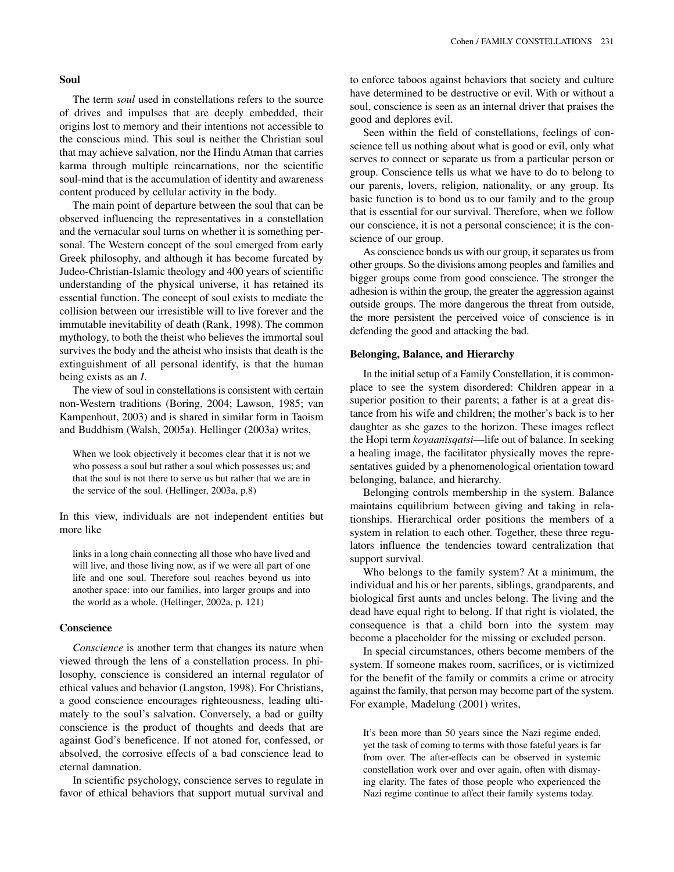## **Soul**

The term *soul* used in constellations refers to the source of drives and impulses that are deeply embedded, their origins lost to memory and their intentions not accessible to the conscious mind. This soul is neither the Christian soul that may achieve salvation, nor the Hindu Atman that carries karma through multiple reincarnations, nor the scientific soul-mind that is the accumulation of identity and awareness content produced by cellular activity in the body.

The main point of departure between the soul that can be observed influencing the representatives in a constellation and the vernacular soul turns on whether it is something personal. The Western concept of the soul emerged from early Greek philosophy, and although it has become furcated by Judeo-Christian-Islamic theology and 400 years of scientific understanding of the physical universe, it has retained its essential function. The concept of soul exists to mediate the collision between our irresistible will to live forever and the immutable inevitability of death (Rank, 1998). The common mythology, to both the theist who believes the immortal soul survives the body and the atheist who insists that death is the extinguishment of all personal identify, is that the human being exists as an *I*.

The view of soul in constellations is consistent with certain non-Western traditions (Boring, 2004; Lawson, 1985; van Kampenhout, 2003) and is shared in similar form in Taoism and Buddhism (Walsh, 2005a). Hellinger (2003a) writes,

When we look objectively it becomes clear that it is not we who possess a soul but rather a soul which possesses us; and that the soul is not there to serve us but rather that we are in the service of the soul. (Hellinger, 2003a, p.8)

In this view, individuals are not independent entities but more like

links in a long chain connecting all those who have lived and will live, and those living now, as if we were all part of one life and one soul. Therefore soul reaches beyond us into another space: into our families, into larger groups and into the world as a whole. (Hellinger, 2002a, p. 121)

## **Conscience**

*Conscience* is another term that changes its nature when viewed through the lens of a constellation process. In philosophy, conscience is considered an internal regulator of ethical values and behavior (Langston, 1998). For Christians, a good conscience encourages righteousness, leading ultimately to the soul's salvation. Conversely, a bad or guilty conscience is the product of thoughts and deeds that are against God's beneficence. If not atoned for, confessed, or absolved, the corrosive effects of a bad conscience lead to eternal damnation.

In scientific psychology, conscience serves to regulate in favor of ethical behaviors that support mutual survival and to enforce taboos against behaviors that society and culture have determined to be destructive or evil. With or without a soul, conscience is seen as an internal driver that praises the good and deplores evil.

Seen within the field of constellations, feelings of conscience tell us nothing about what is good or evil, only what serves to connect or separate us from a particular person or group. Conscience tells us what we have to do to belong to our parents, lovers, religion, nationality, or any group. Its basic function is to bond us to our family and to the group that is essential for our survival. Therefore, when we follow our conscience, it is not a personal conscience; it is the conscience of our group.

As conscience bonds us with our group, it separates us from other groups. So the divisions among peoples and families and bigger groups come from good conscience. The stronger the adhesion is within the group, the greater the aggression against outside groups. The more dangerous the threat from outside, the more persistent the perceived voice of conscience is in defending the good and attacking the bad.

#### **Belonging, Balance, and Hierarchy**

In the initial setup of a Family Constellation, it is commonplace to see the system disordered: Children appear in a superior position to their parents; a father is at a great distance from his wife and children; the mother's back is to her daughter as she gazes to the horizon. These images reflect the Hopi term *koyaanisqatsi*—life out of balance. In seeking a healing image, the facilitator physically moves the representatives guided by a phenomenological orientation toward belonging, balance, and hierarchy.

Belonging controls membership in the system. Balance maintains equilibrium between giving and taking in relationships. Hierarchical order positions the members of a system in relation to each other. Together, these three regulators influence the tendencies toward centralization that support survival.

Who belongs to the family system? At a minimum, the individual and his or her parents, siblings, grandparents, and biological first aunts and uncles belong. The living and the dead have equal right to belong. If that right is violated, the consequence is that a child born into the system may become a placeholder for the missing or excluded person.

In special circumstances, others become members of the system. If someone makes room, sacrifices, or is victimized for the benefit of the family or commits a crime or atrocity against the family, that person may become part of the system. For example, Madelung (2001) writes,

It's been more than 50 years since the Nazi regime ended, yet the task of coming to terms with those fateful years is far from over. The after-effects can be observed in systemic constellation work over and over again, often with dismaying clarity. The fates of those people who experienced the Nazi regime continue to affect their family systems today.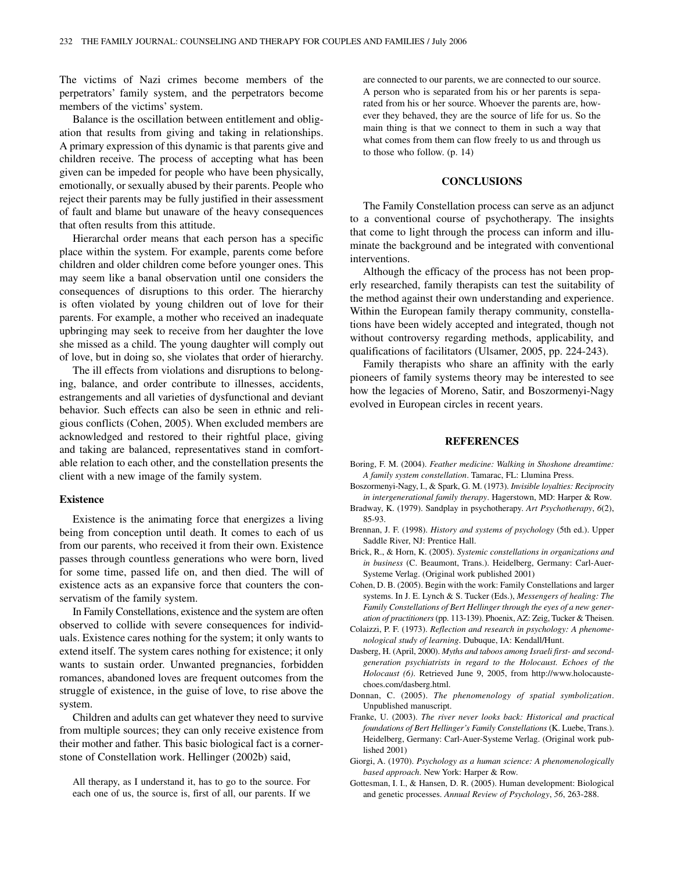The victims of Nazi crimes become members of the perpetrators' family system, and the perpetrators become members of the victims' system.

Balance is the oscillation between entitlement and obligation that results from giving and taking in relationships. A primary expression of this dynamic is that parents give and children receive. The process of accepting what has been given can be impeded for people who have been physically, emotionally, or sexually abused by their parents. People who reject their parents may be fully justified in their assessment of fault and blame but unaware of the heavy consequences that often results from this attitude.

Hierarchal order means that each person has a specific place within the system. For example, parents come before children and older children come before younger ones. This may seem like a banal observation until one considers the consequences of disruptions to this order. The hierarchy is often violated by young children out of love for their parents. For example, a mother who received an inadequate upbringing may seek to receive from her daughter the love she missed as a child. The young daughter will comply out of love, but in doing so, she violates that order of hierarchy.

The ill effects from violations and disruptions to belonging, balance, and order contribute to illnesses, accidents, estrangements and all varieties of dysfunctional and deviant behavior. Such effects can also be seen in ethnic and religious conflicts (Cohen, 2005). When excluded members are acknowledged and restored to their rightful place, giving and taking are balanced, representatives stand in comfortable relation to each other, and the constellation presents the client with a new image of the family system.

#### **Existence**

Existence is the animating force that energizes a living being from conception until death. It comes to each of us from our parents, who received it from their own. Existence passes through countless generations who were born, lived for some time, passed life on, and then died. The will of existence acts as an expansive force that counters the conservatism of the family system.

In Family Constellations, existence and the system are often observed to collide with severe consequences for individuals. Existence cares nothing for the system; it only wants to extend itself. The system cares nothing for existence; it only wants to sustain order. Unwanted pregnancies, forbidden romances, abandoned loves are frequent outcomes from the struggle of existence, in the guise of love, to rise above the system.

Children and adults can get whatever they need to survive from multiple sources; they can only receive existence from their mother and father. This basic biological fact is a cornerstone of Constellation work. Hellinger (2002b) said,

All therapy, as I understand it, has to go to the source. For each one of us, the source is, first of all, our parents. If we

are connected to our parents, we are connected to our source. A person who is separated from his or her parents is separated from his or her source. Whoever the parents are, however they behaved, they are the source of life for us. So the main thing is that we connect to them in such a way that what comes from them can flow freely to us and through us to those who follow. (p. 14)

# **CONCLUSIONS**

The Family Constellation process can serve as an adjunct to a conventional course of psychotherapy. The insights that come to light through the process can inform and illuminate the background and be integrated with conventional interventions.

Although the efficacy of the process has not been properly researched, family therapists can test the suitability of the method against their own understanding and experience. Within the European family therapy community, constellations have been widely accepted and integrated, though not without controversy regarding methods, applicability, and qualifications of facilitators (Ulsamer, 2005, pp. 224-243).

Family therapists who share an affinity with the early pioneers of family systems theory may be interested to see how the legacies of Moreno, Satir, and Boszormenyi-Nagy evolved in European circles in recent years.

## **REFERENCES**

- Boring, F. M. (2004). *Feather medicine: Walking in Shoshone dreamtime: A family system constellation*. Tamarac, FL: Llumina Press.
- Boszormenyi-Nagy, I., & Spark, G. M. (1973). *Invisible loyalties: Reciprocity in intergenerational family therapy*. Hagerstown, MD: Harper & Row.
- Bradway, K. (1979). Sandplay in psychotherapy. *Art Psychotherapy*, *6*(2), 85-93.
- Brennan, J. F. (1998). *History and systems of psychology* (5th ed.). Upper Saddle River, NJ: Prentice Hall.
- Brick, R., & Horn, K. (2005). *Systemic constellations in organizations and in business* (C. Beaumont, Trans.). Heidelberg, Germany: Carl-Auer-Systeme Verlag. (Original work published 2001)
- Cohen, D. B. (2005). Begin with the work: Family Constellations and larger systems. In J. E. Lynch & S. Tucker (Eds.), *Messengers of healing: The Family Constellations of Bert Hellinger through the eyes of a new generation of practitioners* (pp. 113-139). Phoenix, AZ: Zeig, Tucker & Theisen.
- Colaizzi, P. F. (1973). *Reflection and research in psychology: A phenomenological study of learning*. Dubuque, IA: Kendall/Hunt.
- Dasberg, H. (April, 2000). *Myths and taboos among Israeli first- and secondgeneration psychiatrists in regard to the Holocaust. Echoes of the Holocaust (6)*. Retrieved June 9, 2005, from http://www.holocaustechoes.com/dasberg.html.
- Donnan, C. (2005). *The phenomenology of spatial symbolization*. Unpublished manuscript.
- Franke, U. (2003). *The river never looks back: Historical and practical foundations of Bert Hellinger's Family Constellations* (K. Luebe, Trans.). Heidelberg, Germany: Carl-Auer-Systeme Verlag. (Original work published 2001)
- Giorgi, A. (1970). *Psychology as a human science: A phenomenologically based approach*. New York: Harper & Row.
- Gottesman, I. I., & Hansen, D. R. (2005). Human development: Biological and genetic processes. *Annual Review of Psychology*, *56*, 263-288.